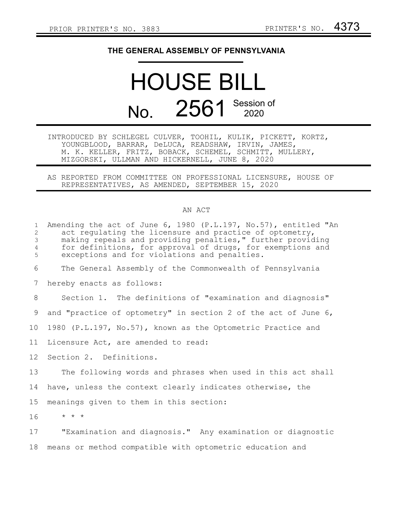## **THE GENERAL ASSEMBLY OF PENNSYLVANIA**

## HOUSE BILL No. 2561 Session of

INTRODUCED BY SCHLEGEL CULVER, TOOHIL, KULIK, PICKETT, KORTZ, YOUNGBLOOD, BARRAR, DeLUCA, READSHAW, IRVIN, JAMES, M. K. KELLER, FRITZ, BOBACK, SCHEMEL, SCHMITT, MULLERY, MIZGORSKI, ULLMAN AND HICKERNELL, JUNE 8, 2020

AS REPORTED FROM COMMITTEE ON PROFESSIONAL LICENSURE, HOUSE OF REPRESENTATIVES, AS AMENDED, SEPTEMBER 15, 2020

## AN ACT

| $\mathbf{1}$<br>2<br>3<br>$\overline{4}$<br>5 | Amending the act of June 6, 1980 (P.L.197, No.57), entitled "An<br>act requiating the licensure and practice of optometry,<br>making repeals and providing penalties," further providing<br>for definitions, for approval of drugs, for exemptions and<br>exceptions and for violations and penalties. |
|-----------------------------------------------|--------------------------------------------------------------------------------------------------------------------------------------------------------------------------------------------------------------------------------------------------------------------------------------------------------|
| 6                                             | The General Assembly of the Commonwealth of Pennsylvania                                                                                                                                                                                                                                               |
| 7                                             | hereby enacts as follows:                                                                                                                                                                                                                                                                              |
| 8                                             | Section 1. The definitions of "examination and diagnosis"                                                                                                                                                                                                                                              |
| 9                                             | and "practice of optometry" in section 2 of the act of June 6,                                                                                                                                                                                                                                         |
| 10 <sub>1</sub>                               | 1980 (P.L.197, No.57), known as the Optometric Practice and                                                                                                                                                                                                                                            |
| 11                                            | Licensure Act, are amended to read:                                                                                                                                                                                                                                                                    |
| 12 <sup>°</sup>                               | Section 2. Definitions.                                                                                                                                                                                                                                                                                |
| 13                                            | The following words and phrases when used in this act shall                                                                                                                                                                                                                                            |
| 14                                            | have, unless the context clearly indicates otherwise, the                                                                                                                                                                                                                                              |
| 15                                            | meanings given to them in this section:                                                                                                                                                                                                                                                                |
| 16                                            | $\star$ $\star$ $\star$                                                                                                                                                                                                                                                                                |
| 17                                            | "Examination and diagnosis." Any examination or diagnostic                                                                                                                                                                                                                                             |
| 18                                            | means or method compatible with optometric education and                                                                                                                                                                                                                                               |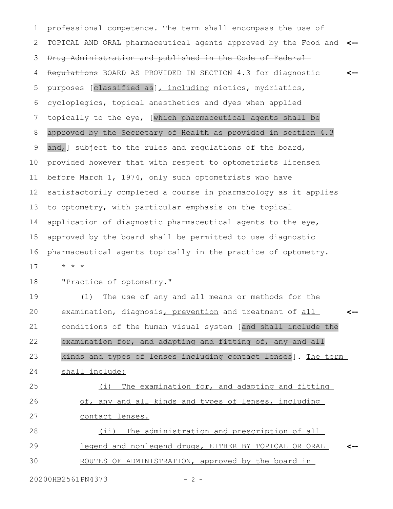| $\mathbf 1$ | professional competence. The term shall encompass the use of                        |
|-------------|-------------------------------------------------------------------------------------|
| 2           | TOPICAL AND ORAL pharmaceutical agents approved by the Food and <--                 |
| 3           | Drug Administration and published in the Code of Federal                            |
| 4           | Requiations BOARD AS PROVIDED IN SECTION 4.3 for diagnostic<br><--                  |
| 5           | purposes [classified as], including miotics, mydriatics,                            |
| 6           | cycloplegics, topical anesthetics and dyes when applied                             |
| 7           | topically to the eye, [which pharmaceutical agents shall be                         |
| 8           | approved by the Secretary of Health as provided in section 4.3                      |
| 9           | and, ] subject to the rules and requlations of the board,                           |
| 10          | provided however that with respect to optometrists licensed                         |
| 11          | before March 1, 1974, only such optometrists who have                               |
| 12          | satisfactorily completed a course in pharmacology as it applies                     |
| 13          | to optometry, with particular emphasis on the topical                               |
| 14          | application of diagnostic pharmaceutical agents to the eye,                         |
| 15          | approved by the board shall be permitted to use diagnostic                          |
| 16          | pharmaceutical agents topically in the practice of optometry.                       |
| 17          | $\star$ $\star$ $\star$                                                             |
| 18          | "Practice of optometry."                                                            |
| 19          | The use of any and all means or methods for the<br>(1)                              |
| 20          | examination, diagnosis <sub>I</sub> prevention and treatment of all<br>$\leftarrow$ |
| 21          | conditions of the human visual system [and shall include the                        |
| 22          | examination for, and adapting and fitting of, any and all                           |
| 23          | kinds and types of lenses including contact lenses]. The term                       |
| 24          | shall include:                                                                      |
| 25          | The examination for, and adapting and fitting<br>(i)                                |
| 26          | of, any and all kinds and types of lenses, including                                |
| 27          | contact lenses.                                                                     |
| 28          | (ii) The administration and prescription of all                                     |
| 29          | legend and nonlegend drugs, EITHER BY TOPICAL OR ORAL<br><--                        |

30 ROUTES OF ADMINISTRATION, approved by the board in

20200HB2561PN4373 - 2 -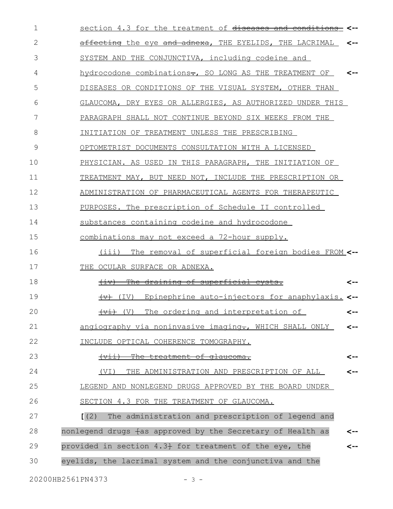| 1            | section 4.3 for the treatment of diseases and conditions    | <-- |
|--------------|-------------------------------------------------------------|-----|
| $\mathbf{2}$ | affecting the eye and adnexa, THE EYELIDS, THE LACRIMAL     | <-- |
| 3            | SYSTEM AND THE CONJUNCTIVA, including codeine and           |     |
| 4            | hydrocodone combinations-, SO LONG AS THE TREATMENT OF      | <-- |
| 5            | DISEASES OR CONDITIONS OF THE VISUAL SYSTEM, OTHER THAN     |     |
| 6            | GLAUCOMA, DRY EYES OR ALLERGIES, AS AUTHORIZED UNDER THIS   |     |
| 7            | PARAGRAPH SHALL NOT CONTINUE BEYOND SIX WEEKS FROM THE      |     |
| 8            | INITIATION OF TREATMENT UNLESS THE PRESCRIBING              |     |
| 9            | OPTOMETRIST DOCUMENTS CONSULTATION WITH A LICENSED          |     |
| 10           | PHYSICIAN. AS USED IN THIS PARAGRAPH, THE INITIATION OF     |     |
| 11           | TREATMENT MAY, BUT NEED NOT, INCLUDE THE PRESCRIPTION OR    |     |
| 12           | ADMINISTRATION OF PHARMACEUTICAL AGENTS FOR THERAPEUTIC     |     |
| 13           | PURPOSES. The prescription of Schedule II controlled        |     |
| 14           | substances containing codeine and hydrocodone               |     |
| 15           | combinations may not exceed a 72-hour supply.               |     |
| 16           | (iii)<br>The removal of superficial foreign bodies FROM <-- |     |
| 17           | THE OCULAR SURFACE OR ADNEXA.                               |     |
| 18           | (iv) The draining of superficial cysts.                     | <-- |
| 19           | (IV) Epinephrine auto-injectors for anaphylaxis. <--        |     |
| 20           | (V) The ordering and interpretation of<br>╅ᢦ┹┾              | <-- |
| 21           | angiography via noninvasive imaging-, WHICH SHALL ONLY      | <-- |
| 22           | INCLUDE OPTICAL COHERENCE TOMOGRAPHY.                       |     |
| 23           | (vii) The treatment of glaucoma.                            | <-- |
| 24           | THE ADMINISTRATION AND PRESCRIPTION OF ALL<br>(VI)          | <-- |
| 25           | LEGEND AND NONLEGEND DRUGS APPROVED BY THE BOARD UNDER      |     |
| 26           | SECTION 4.3 FOR THE TREATMENT OF GLAUCOMA.                  |     |
| 27           | (2)<br>The administration and prescription of legend and    |     |
| 28           | nonlegend drugs fas approved by the Secretary of Health as  | <-- |
| 29           | provided in section 4.3+ for treatment of the eye, the      |     |
| 30           | eyelids, the lacrimal system and the conjunctiva and the    |     |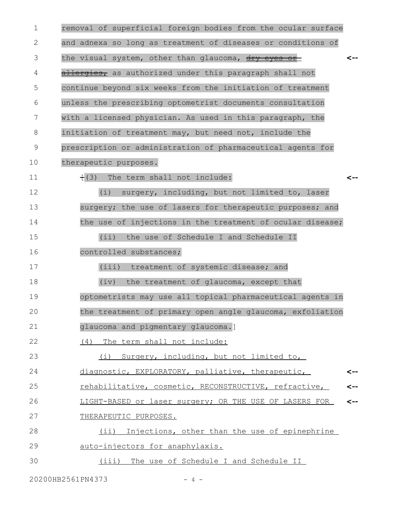| 1  | removal of superficial foreign bodies from the ocular surface |     |
|----|---------------------------------------------------------------|-----|
| 2  | and adnexa so long as treatment of diseases or conditions of  |     |
| 3  | the visual system, other than glaucoma, dry eyes or           | <-- |
| 4  | allergies, as authorized under this paragraph shall not       |     |
| 5  | continue beyond six weeks from the initiation of treatment    |     |
| 6  | unless the prescribing optometrist documents consultation     |     |
| 7  | with a licensed physician. As used in this paragraph, the     |     |
| 8  | initiation of treatment may, but need not, include the        |     |
| 9  | prescription or administration of pharmaceutical agents for   |     |
| 10 | therapeutic purposes.                                         |     |
| 11 | $+(3)$<br>The term shall not include:                         | <-- |
| 12 | (i)<br>surgery, including, but not limited to, laser          |     |
| 13 | surgery; the use of lasers for therapeutic purposes; and      |     |
| 14 | the use of injections in the treatment of ocular disease;     |     |
| 15 | (i)<br>the use of Schedule I and Schedule II                  |     |
| 16 | controlled substances;                                        |     |
| 17 | (iii) treatment of systemic disease; and                      |     |
| 18 | (iv)<br>the treatment of glaucoma, except that                |     |
| 19 | optometrists may use all topical pharmaceutical agents in     |     |
| 20 | the treatment of primary open angle glaucoma, exfoliation     |     |
| 21 | glaucoma and pigmentary glaucoma.]                            |     |
| 22 | (4)<br>The term shall not include:                            |     |
| 23 | (i) Surgery, including, but not limited to,                   |     |
| 24 | diagnostic, EXPLORATORY, palliative, therapeutic,             | <-- |
| 25 | rehabilitative, cosmetic, RECONSTRUCTIVE, refractive,         | <-- |
| 26 | LIGHT-BASED or laser surgery; OR THE USE OF LASERS FOR        | <-- |
| 27 | THERAPEUTIC PURPOSES.                                         |     |
| 28 | (ii) Injections, other than the use of epinephrine            |     |
| 29 | auto-injectors for anaphylaxis.                               |     |
| 30 | (iii) The use of Schedule I and Schedule II                   |     |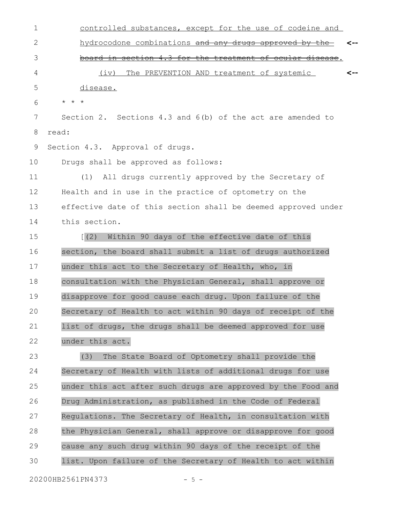controlled substances, except for the use of codeine and hydrocodone combinations and any drugs approved by the board in section 4.3 for the treatment of ocular disease. (iv) The PREVENTION AND treatment of systemic disease. \* \* \* Section 2. Sections 4.3 and 6(b) of the act are amended to read: Section 4.3. Approval of drugs. Drugs shall be approved as follows: (1) All drugs currently approved by the Secretary of Health and in use in the practice of optometry on the effective date of this section shall be deemed approved under this section. [(2) Within 90 days of the effective date of this section, the board shall submit a list of drugs authorized under this act to the Secretary of Health, who, in consultation with the Physician General, shall approve or disapprove for good cause each drug. Upon failure of the Secretary of Health to act within 90 days of receipt of the list of drugs, the drugs shall be deemed approved for use under this act. (3) The State Board of Optometry shall provide the Secretary of Health with lists of additional drugs for use under this act after such drugs are approved by the Food and Drug Administration, as published in the Code of Federal Regulations. The Secretary of Health, in consultation with the Physician General, shall approve or disapprove for good cause any such drug within 90 days of the receipt of the **<-- <--** 1 2 3 4 5 6 7 8 9 10 11 12 13 14 15 16 17 18 19 20 21 22 23 24 25 26 27 28 29

list. Upon failure of the Secretary of Health to act within 30

20200HB2561PN4373 - 5 -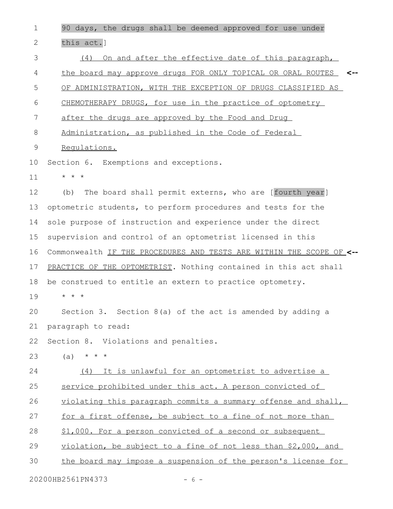90 days, the drugs shall be deemed approved for use under this act.] (4) On and after the effective date of this paragraph, the board may approve drugs FOR ONLY TOPICAL OR ORAL ROUTES **<--** OF ADMINISTRATION, WITH THE EXCEPTION OF DRUGS CLASSIFIED AS CHEMOTHERAPY DRUGS, for use in the practice of optometry after the drugs are approved by the Food and Drug Administration, as published in the Code of Federal Regulations. Section 6. Exemptions and exceptions. \* \* \* (b) The board shall permit externs, who are [fourth year] optometric students, to perform procedures and tests for the sole purpose of instruction and experience under the direct supervision and control of an optometrist licensed in this Commonwealth IF THE PROCEDURES AND TESTS ARE WITHIN THE SCOPE OF **<--** PRACTICE OF THE OPTOMETRIST. Nothing contained in this act shall be construed to entitle an extern to practice optometry. \* \* \* Section 3. Section 8(a) of the act is amended by adding a paragraph to read: Section 8. Violations and penalties.  $(a) * * * * *$ (4) It is unlawful for an optometrist to advertise a service prohibited under this act. A person convicted of violating this paragraph commits a summary offense and shall, for a first offense, be subject to a fine of not more than \$1,000. For a person convicted of a second or subsequent violation, be subject to a fine of not less than \$2,000, and the board may impose a suspension of the person's license for 1 2 3 4 5 6 7 8 9 10 11 12 13 14 15 16 17 18 19 20 21 22 23 24 25 26 27 28 29 30